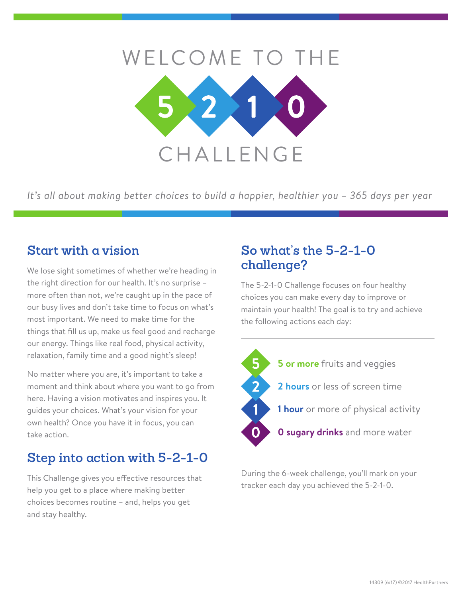

*It's all about making better choices to build a happier, healthier you – 365 days per year*

## **Start with a vision**

We lose sight sometimes of whether we're heading in the right direction for our health. It's no surprise – more often than not, we're caught up in the pace of our busy lives and don't take time to focus on what's most important. We need to make time for the things that fill us up, make us feel good and recharge our energy. Things like real food, physical activity, relaxation, family time and a good night's sleep!

No matter where you are, it's important to take a moment and think about where you want to go from here. Having a vision motivates and inspires you. It guides your choices. What's your vision for your own health? Once you have it in focus, you can take action.

# **Step into action with 5-2-1-0**

This Challenge gives you effective resources that help you get to a place where making better choices becomes routine – and, helps you get and stay healthy.

## **So what's the 5-2-1-0 challenge?**

The 5-2-1-0 Challenge focuses on four healthy choices you can make every day to improve or maintain your health! The goal is to try and achieve the following actions each day:



During the 6-week challenge, you'll mark on your tracker each day you achieved the 5-2-1-0.